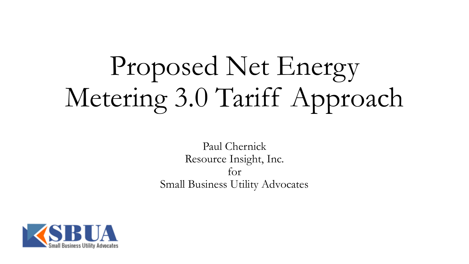# Proposed Net Energy Metering 3.0 Tariff Approach

Paul Chernick Resource Insight, Inc. for Small Business Utility Advocates

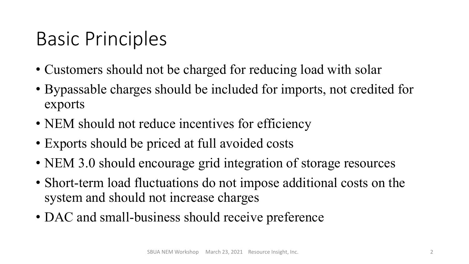#### Basic Principles

- Customers should not be charged for reducing load with solar
- Bypassable charges should be included for imports, not credited for exports
- NEM should not reduce incentives for efficiency
- Exports should be priced at full avoided costs
- NEM 3.0 should encourage grid integration of storage resources
- Short-term load fluctuations do not impose additional costs on the system and should not increase charges
- DAC and small-business should receive preference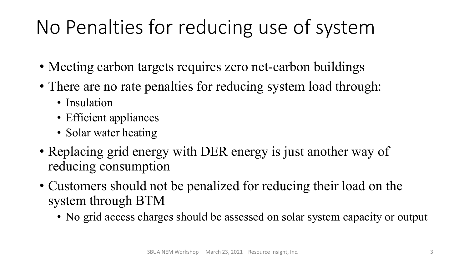#### No Penalties for reducing use of system

- Meeting carbon targets requires zero net-carbon buildings
- There are no rate penalties for reducing system load through:
	- Insulation
	- Efficient appliances
	- Solar water heating
- Replacing grid energy with DER energy is just another way of reducing consumption
- Customers should not be penalized for reducing their load on the system through BTM
	- No grid access charges should be assessed on solar system capacity or output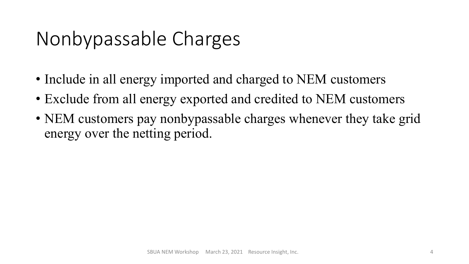#### Nonbypassable Charges

- Include in all energy imported and charged to NEM customers
- Exclude from all energy exported and credited to NEM customers
- NEM customers pay nonbypassable charges whenever they take grid energy over the netting period.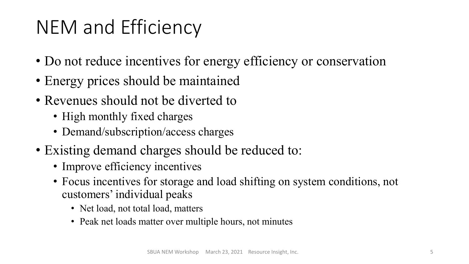#### NEM and Efficiency

- Do not reduce incentives for energy efficiency or conservation
- Energy prices should be maintained
- Revenues should not be diverted to
	- High monthly fixed charges
	- Demand/subscription/access charges
- Existing demand charges should be reduced to:
	- Improve efficiency incentives
	- Focus incentives for storage and load shifting on system conditions, not customers' individual peaks
		- Net load, not total load, matters
		- Peak net loads matter over multiple hours, not minutes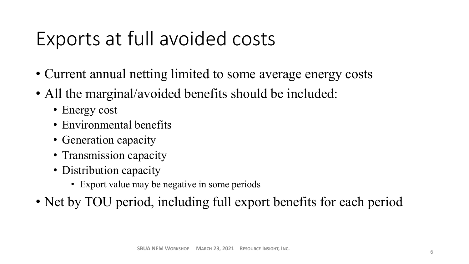#### Exports at full avoided costs

- Current annual netting limited to some average energy costs
- All the marginal/avoided benefits should be included:
	- Energy cost
	- Environmental benefits
	- Generation capacity
	- Transmission capacity
	- Distribution capacity
		- Export value may be negative in some periods
- Net by TOU period, including full export benefits for each period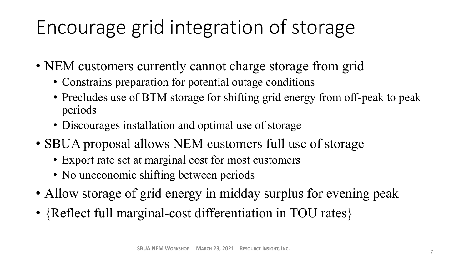### Encourage grid integration of storage

- NEM customers currently cannot charge storage from grid
	- Constrains preparation for potential outage conditions
	- Precludes use of BTM storage for shifting grid energy from off-peak to peak periods
	- Discourages installation and optimal use of storage
- SBUA proposal allows NEM customers full use of storage
	- Export rate set at marginal cost for most customers
	- No uneconomic shifting between periods
- Allow storage of grid energy in midday surplus for evening peak
- {Reflect full marginal-cost differentiation in TOU rates}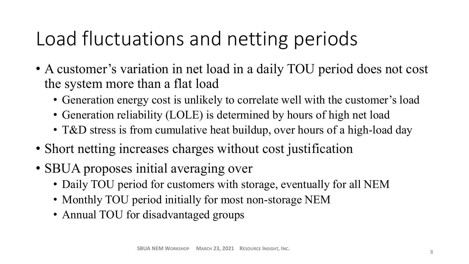#### Load fluctuations and netting periods

- A customer's variation in net load in a daily TOU period does not cost the system more than a flat load
	- Generation energy cost is unlikely to correlate well with the customer's load
	- Generation reliability (LOLE) is determined by hours of high net load
	- T&D stress is from cumulative heat buildup, over hours of a high-load day
- Short netting increases charges without cost justification
- SBUA proposes initial averaging over
	- Daily TOU period for customers with storage, eventually for all NEM
	- Monthly TOU period initially for most non-storage NEM
	- Annual TOU for disadvantaged groups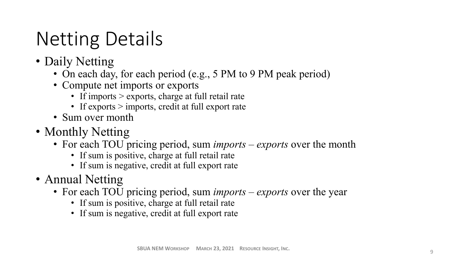### Netting Details

- Daily Netting
	- On each day, for each period (e.g., 5 PM to 9 PM peak period)
	- Compute net imports or exports
		- If imports > exports, charge at full retail rate
		- If exports > imports, credit at full export rate
	- Sum over month
- Monthly Netting
	- For each TOU pricing period, sum *imports – exports* over the month
		- If sum is positive, charge at full retail rate
		- If sum is negative, credit at full export rate
- Annual Netting
	- For each TOU pricing period, sum *imports – exports* over the year
		- If sum is positive, charge at full retail rate
		- If sum is negative, credit at full export rate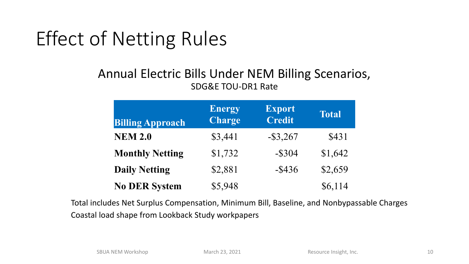#### Effect of Netting Rules

#### Annual Electric Bills Under NEM Billing Scenarios, SDG&E TOU-DR1 Rate

| <b>Billing Approach</b> | <b>Energy</b><br><b>Charge</b> | <b>Export</b><br><b>Credit</b> | <b>Total</b> |
|-------------------------|--------------------------------|--------------------------------|--------------|
| <b>NEM 2.0</b>          | \$3,441                        | $-$ \$3,267                    | \$431        |
| <b>Monthly Netting</b>  | \$1,732                        | $-$ \$304                      | \$1,642      |
| <b>Daily Netting</b>    | \$2,881                        | $-$ \$436                      | \$2,659      |
| <b>No DER System</b>    | \$5,948                        |                                | \$6,114      |

Total includes Net Surplus Compensation, Minimum Bill, Baseline, and Nonbypassable Charges Coastal load shape from Lookback Study workpapers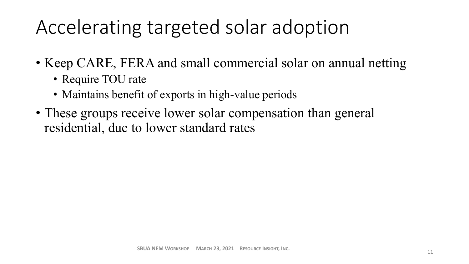### Accelerating targeted solar adoption

- Keep CARE, FERA and small commercial solar on annual netting
	- Require TOU rate
	- Maintains benefit of exports in high-value periods
- These groups receive lower solar compensation than general residential, due to lower standard rates